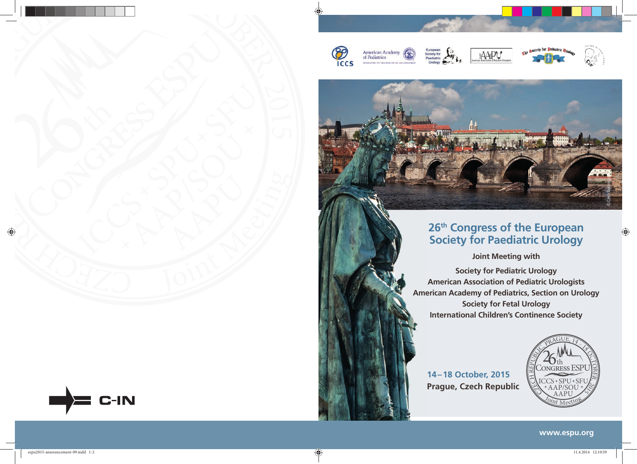













## **26th Congress of the European Society for Paediatric Urology**

**Joint Meeting with** 

**Society for Pediatric Urology American Association of Pediatric Urologists American Academy of Pediatrics, Section on Urology Ame Society for Fetal Urology International Children's Continence Society**

### **14 – 18 October, 2015 Prague, Czech Republic**



**www.espu.org**